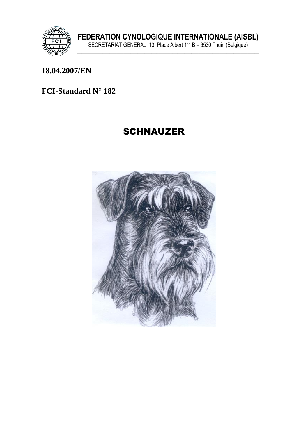

### **18.04.2007/EN**

### **FCI-Standard N° 182**

# **SCHNAUZER**

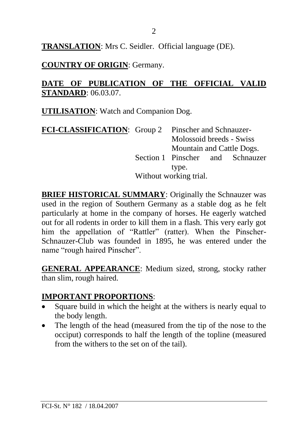**TRANSLATION**: Mrs C. Seidler. Official language (DE).

**COUNTRY OF ORIGIN**: Germany.

### **DATE OF PUBLICATION OF THE OFFICIAL VALID STANDARD**: 06.03.07.

**UTILISATION**: Watch and Companion Dog.

|                        | FCI-CLASSIFICATION: Group 2 Pinscher and Schnauzer- |                           |                                  |  |
|------------------------|-----------------------------------------------------|---------------------------|----------------------------------|--|
|                        |                                                     | Molossoid breeds - Swiss  |                                  |  |
|                        |                                                     | Mountain and Cattle Dogs. |                                  |  |
|                        |                                                     |                           | Section 1 Pinscher and Schnauzer |  |
|                        | type.                                               |                           |                                  |  |
| Without working trial. |                                                     |                           |                                  |  |

**BRIEF HISTORICAL SUMMARY:** Originally the Schnauzer was used in the region of Southern Germany as a stable dog as he felt particularly at home in the company of horses. He eagerly watched out for all rodents in order to kill them in a flash. This very early got him the appellation of "Rattler" (ratter). When the Pinscher-Schnauzer-Club was founded in 1895, he was entered under the name "rough haired Pinscher".

**GENERAL APPEARANCE**: Medium sized, strong, stocky rather than slim, rough haired.

# **IMPORTANT PROPORTIONS**:

- Square build in which the height at the withers is nearly equal to the body length.
- The length of the head (measured from the tip of the nose to the occiput) corresponds to half the length of the topline (measured from the withers to the set on of the tail).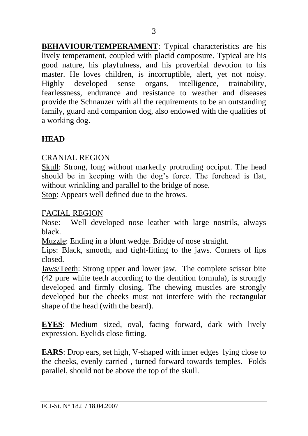**BEHAVIOUR/TEMPERAMENT**: Typical characteristics are his lively temperament, coupled with placid composure. Typical are his good nature, his playfulness, and his proverbial devotion to his master. He loves children, is incorruptible, alert, yet not noisy.<br>Highly developed sense organs, intelligence, trainability, Highly developed sense organs, intelligence, trainability, fearlessness, endurance and resistance to weather and diseases provide the Schnauzer with all the requirements to be an outstanding family, guard and companion dog, also endowed with the qualities of a working dog.

# **HEAD**

# CRANIAL REGION

Skull: Strong, long without markedly protruding occiput. The head should be in keeping with the dog's force. The forehead is flat, without wrinkling and parallel to the bridge of nose.

Stop: Appears well defined due to the brows.

### FACIAL REGION

Nose: Well developed nose leather with large nostrils, always black.

Muzzle: Ending in a blunt wedge. Bridge of nose straight.

Lips: Black, smooth, and tight-fitting to the jaws. Corners of lips closed.

Jaws/Teeth: Strong upper and lower jaw. The complete scissor bite (42 pure white teeth according to the dentition formula), is strongly developed and firmly closing. The chewing muscles are strongly developed but the cheeks must not interfere with the rectangular shape of the head (with the beard).

**EYES**: Medium sized, oval, facing forward, dark with lively expression. Eyelids close fitting.

**EARS**: Drop ears, set high, V-shaped with inner edges lying close to the cheeks, evenly carried , turned forward towards temples. Folds parallel, should not be above the top of the skull.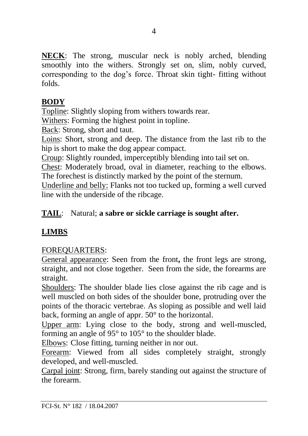**NECK**: The strong, muscular neck is nobly arched, blending smoothly into the withers. Strongly set on, slim, nobly curved, corresponding to the dog's force. Throat skin tight- fitting without folds.

# **BODY**

Topline: Slightly sloping from withers towards rear.

Withers: Forming the highest point in topline.

Back: Strong, short and taut.

Loins: Short, strong and deep. The distance from the last rib to the hip is short to make the dog appear compact.

Croup: Slightly rounded, imperceptibly blending into tail set on.

Chest: Moderately broad, oval in diameter, reaching to the elbows. The forechest is distinctly marked by the point of the sternum.

Underline and belly: Flanks not too tucked up, forming a well curved line with the underside of the ribcage.

# **TAIL**: Natural; **a sabre or sickle carriage is sought after.**

# **LIMBS**

# FOREQUARTERS:

General appearance: Seen from the front**,** the front legs are strong, straight, and not close together. Seen from the side, the forearms are straight.

Shoulders: The shoulder blade lies close against the rib cage and is well muscled on both sides of the shoulder bone, protruding over the points of the thoracic vertebrae. As sloping as possible and well laid back, forming an angle of appr. 50° to the horizontal.

Upper arm: Lying close to the body, strong and well-muscled, forming an angle of 95° to 105° to the shoulder blade.

Elbows: Close fitting, turning neither in nor out.

Forearm: Viewed from all sides completely straight, strongly developed, and well-muscled.

Carpal joint: Strong, firm, barely standing out against the structure of the forearm.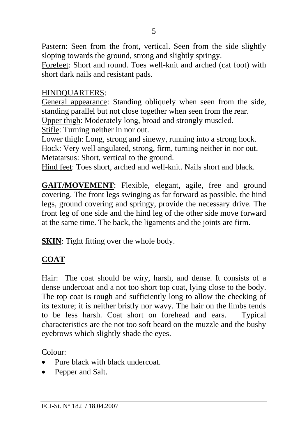Pastern: Seen from the front, vertical. Seen from the side slightly sloping towards the ground, strong and slightly springy.

Forefeet: Short and round. Toes well-knit and arched (cat foot) with short dark nails and resistant pads.

### HINDQUARTERS:

General appearance: Standing obliquely when seen from the side, standing parallel but not close together when seen from the rear. Upper thigh: Moderately long, broad and strongly muscled. Stifle: Turning neither in nor out.

Lower thigh: Long, strong and sinewy, running into a strong hock. Hock: Very well angulated, strong, firm, turning neither in nor out. Metatarsus: Short, vertical to the ground.

Hind feet: Toes short, arched and well-knit. Nails short and black.

**GAIT/MOVEMENT**: Flexible, elegant, agile, free and ground covering. The front legs swinging as far forward as possible, the hind legs, ground covering and springy, provide the necessary drive. The front leg of one side and the hind leg of the other side move forward at the same time. The back, the ligaments and the joints are firm.

**SKIN**: Tight fitting over the whole body.

# **COAT**

Hair: The coat should be wiry, harsh, and dense. It consists of a dense undercoat and a not too short top coat, lying close to the body. The top coat is rough and sufficiently long to allow the checking of its texture; it is neither bristly nor wavy. The hair on the limbs tends to be less harsh. Coat short on forehead and ears. Typical characteristics are the not too soft beard on the muzzle and the bushy eyebrows which slightly shade the eyes.

Colour:

- Pure black with black undercoat.
- Pepper and Salt.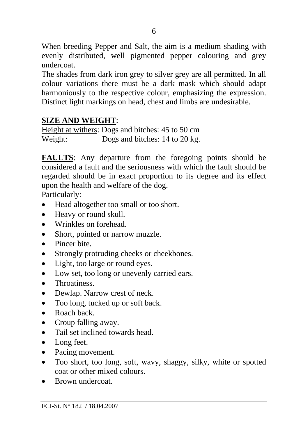When breeding Pepper and Salt, the aim is a medium shading with evenly distributed, well pigmented pepper colouring and grey undercoat.

The shades from dark iron grey to silver grey are all permitted. In all colour variations there must be a dark mask which should adapt harmoniously to the respective colour, emphasizing the expression. Distinct light markings on head, chest and limbs are undesirable.

#### **SIZE AND WEIGHT**:

Height at withers: Dogs and bitches: 45 to 50 cm Weight: Dogs and bitches: 14 to 20 kg.

**FAULTS**: Any departure from the foregoing points should be considered a fault and the seriousness with which the fault should be regarded should be in exact proportion to its degree and its effect upon the health and welfare of the dog.

Particularly:

- Head altogether too small or too short.
- Heavy or round skull.
- Wrinkles on forehead.
- Short, pointed or narrow muzzle.
- Pincer bite.
- Strongly protruding cheeks or cheekbones.
- Light, too large or round eyes.
- Low set, too long or unevenly carried ears.
- Throatiness.
- Dewlap. Narrow crest of neck.
- Too long, tucked up or soft back.
- Roach back
- Croup falling away.
- Tail set inclined towards head.
- Long feet.
- Pacing movement.
- Too short, too long, soft, wavy, shaggy, silky, white or spotted coat or other mixed colours.
- Brown undercoat.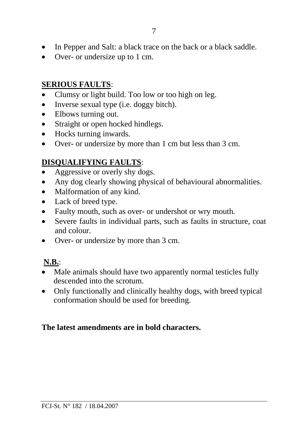- In Pepper and Salt: a black trace on the back or a black saddle.
- Over- or undersize up to 1 cm.

# **SERIOUS FAULTS**:

- Clumsy or light build. Too low or too high on leg.
- Inverse sexual type (i.e. doggy bitch).
- Elbows turning out.
- Straight or open hocked hindlegs.
- Hocks turning inwards.
- Over- or undersize by more than 1 cm but less than 3 cm.

# **DISQUALIFYING FAULTS**:

- Aggressive or overly shy dogs.
- Any dog clearly showing physical of behavioural abnormalities.
- Malformation of any kind.
- Lack of breed type.
- Faulty mouth, such as over- or undershot or wry mouth.
- Severe faults in individual parts, such as faults in structure, coat and colour.
- Over- or undersize by more than 3 cm.

# **N.B.**:

- Male animals should have two apparently normal testicles fully descended into the scrotum.
- Only functionally and clinically healthy dogs, with breed typical conformation should be used for breeding.

### **The latest amendments are in bold characters.**